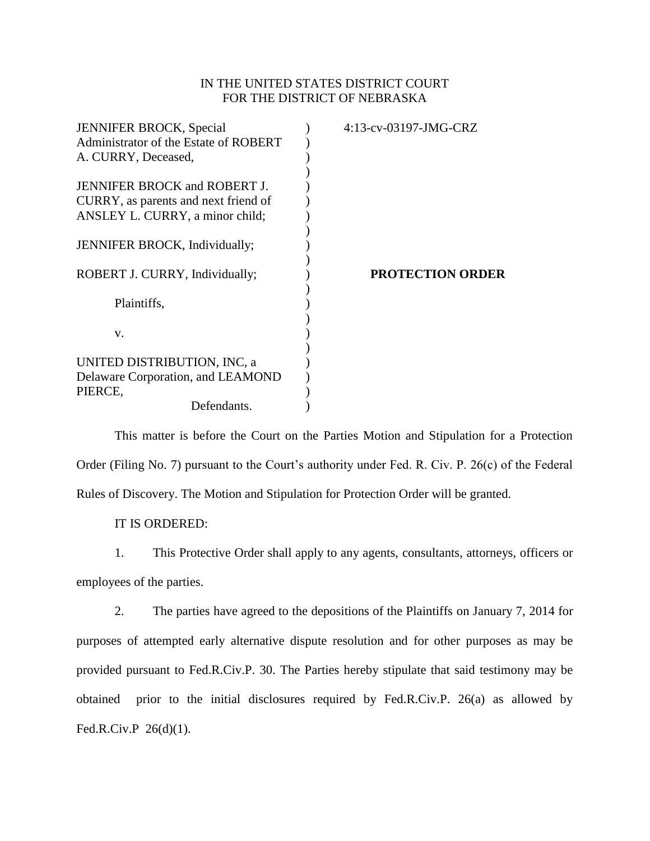## IN THE UNITED STATES DISTRICT COURT FOR THE DISTRICT OF NEBRASKA

| <b>JENNIFER BROCK, Special</b>        | 4:13-cv-03197-JMG-CRZ   |
|---------------------------------------|-------------------------|
| Administrator of the Estate of ROBERT |                         |
| A. CURRY, Deceased,                   |                         |
|                                       |                         |
| JENNIFER BROCK and ROBERT J.          |                         |
| CURRY, as parents and next friend of  |                         |
| ANSLEY L. CURRY, a minor child;       |                         |
|                                       |                         |
| JENNIFER BROCK, Individually;         |                         |
|                                       |                         |
| ROBERT J. CURRY, Individually;        | <b>PROTECTION ORDER</b> |
|                                       |                         |
| Plaintiffs,                           |                         |
|                                       |                         |
| V.                                    |                         |
|                                       |                         |
| UNITED DISTRIBUTION, INC, a           |                         |
| Delaware Corporation, and LEAMOND     |                         |
| PIERCE,                               |                         |
| Defendants.                           |                         |
|                                       |                         |

This matter is before the Court on the Parties Motion and Stipulation for a Protection Order (Filing No. 7) pursuant to the Court's authority under Fed. R. Civ. P. 26(c) of the Federal Rules of Discovery. The Motion and Stipulation for Protection Order will be granted.

IT IS ORDERED:

1. This Protective Order shall apply to any agents, consultants, attorneys, officers or employees of the parties.

2. The parties have agreed to the depositions of the Plaintiffs on January 7, 2014 for purposes of attempted early alternative dispute resolution and for other purposes as may be provided pursuant to Fed.R.Civ.P. 30. The Parties hereby stipulate that said testimony may be obtained prior to the initial disclosures required by Fed.R.Civ.P. 26(a) as allowed by Fed.R.Civ.P 26(d)(1).